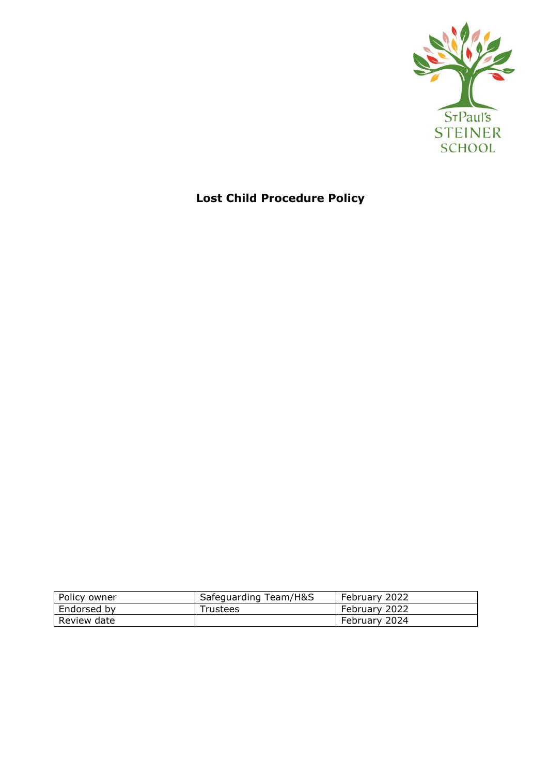

# **Lost Child Procedure Policy**

| Policy owner | Safeguarding Team/H&S | February 2022 |
|--------------|-----------------------|---------------|
| Endorsed by  | Trustees              | February 2022 |
| Review date  |                       | February 2024 |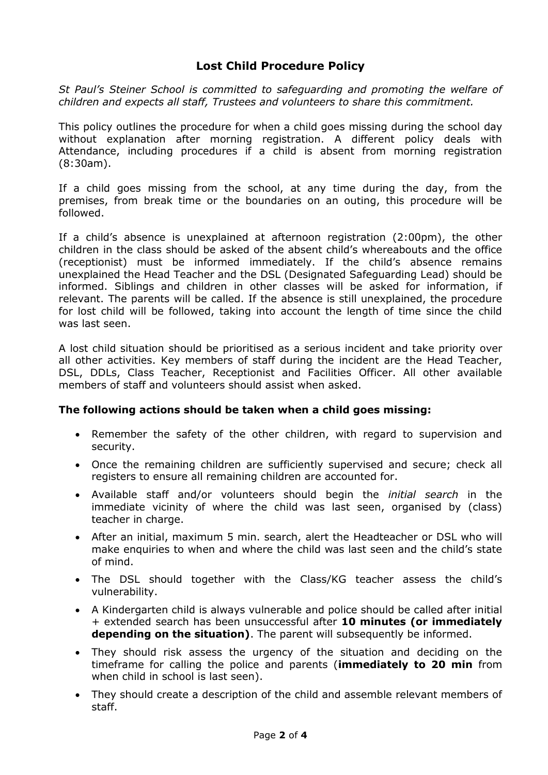## **Lost Child Procedure Policy**

*St Paul's Steiner School is committed to safeguarding and promoting the welfare of children and expects all staff, Trustees and volunteers to share this commitment.*

This policy outlines the procedure for when a child goes missing during the school day without explanation after morning registration. A different policy deals with Attendance, including procedures if a child is absent from morning registration (8:30am).

If a child goes missing from the school, at any time during the day, from the premises, from break time or the boundaries on an outing, this procedure will be followed.

If a child's absence is unexplained at afternoon registration (2:00pm), the other children in the class should be asked of the absent child's whereabouts and the office (receptionist) must be informed immediately. If the child's absence remains unexplained the Head Teacher and the DSL (Designated Safeguarding Lead) should be informed. Siblings and children in other classes will be asked for information, if relevant. The parents will be called. If the absence is still unexplained, the procedure for lost child will be followed, taking into account the length of time since the child was last seen.

A lost child situation should be prioritised as a serious incident and take priority over all other activities. Key members of staff during the incident are the Head Teacher, DSL, DDLs, Class Teacher, Receptionist and Facilities Officer. All other available members of staff and volunteers should assist when asked.

### **The following actions should be taken when a child goes missing:**

- Remember the safety of the other children, with regard to supervision and security.
- Once the remaining children are sufficiently supervised and secure; check all registers to ensure all remaining children are accounted for.
- Available staff and/or volunteers should begin the *initial search* in the immediate vicinity of where the child was last seen, organised by (class) teacher in charge.
- After an initial, maximum 5 min. search, alert the Headteacher or DSL who will make enquiries to when and where the child was last seen and the child's state of mind.
- The DSL should together with the Class/KG teacher assess the child's vulnerability.
- A Kindergarten child is always vulnerable and police should be called after initial + extended search has been unsuccessful after **10 minutes (or immediately depending on the situation)**. The parent will subsequently be informed.
- They should risk assess the urgency of the situation and deciding on the timeframe for calling the police and parents (**immediately to 20 min** from when child in school is last seen).
- They should create a description of the child and assemble relevant members of staff.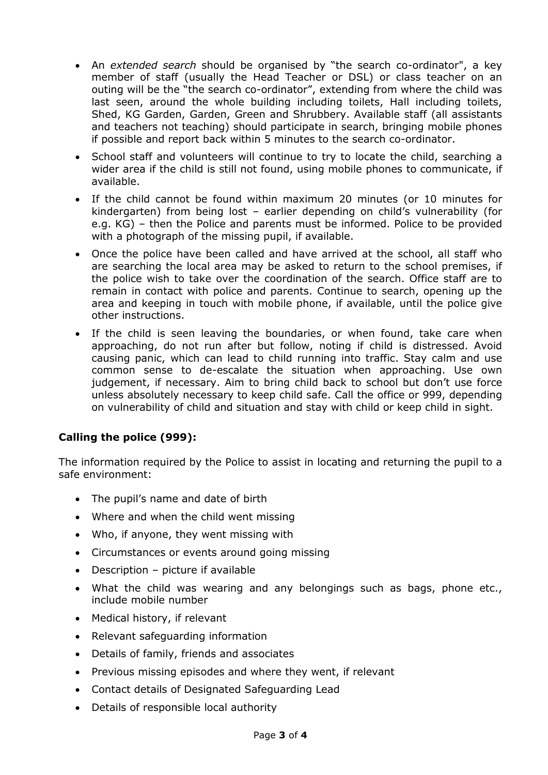- An *extended search* should be organised by "the search co-ordinator", a key member of staff (usually the Head Teacher or DSL) or class teacher on an outing will be the "the search co-ordinator", extending from where the child was last seen, around the whole building including toilets, Hall including toilets, Shed, KG Garden, Garden, Green and Shrubbery. Available staff (all assistants and teachers not teaching) should participate in search, bringing mobile phones if possible and report back within 5 minutes to the search co-ordinator.
- School staff and volunteers will continue to try to locate the child, searching a wider area if the child is still not found, using mobile phones to communicate, if available.
- If the child cannot be found within maximum 20 minutes (or 10 minutes for kindergarten) from being lost – earlier depending on child's vulnerability (for e.g. KG) – then the Police and parents must be informed. Police to be provided with a photograph of the missing pupil, if available.
- Once the police have been called and have arrived at the school, all staff who are searching the local area may be asked to return to the school premises, if the police wish to take over the coordination of the search. Office staff are to remain in contact with police and parents. Continue to search, opening up the area and keeping in touch with mobile phone, if available, until the police give other instructions.
- If the child is seen leaving the boundaries, or when found, take care when approaching, do not run after but follow, noting if child is distressed. Avoid causing panic, which can lead to child running into traffic. Stay calm and use common sense to de-escalate the situation when approaching. Use own judgement, if necessary. Aim to bring child back to school but don't use force unless absolutely necessary to keep child safe. Call the office or 999, depending on vulnerability of child and situation and stay with child or keep child in sight.

## **Calling the police (999):**

The information required by the Police to assist in locating and returning the pupil to a safe environment:

- The pupil's name and date of birth
- Where and when the child went missing
- Who, if anyone, they went missing with
- Circumstances or events around going missing
- Description picture if available
- What the child was wearing and any belongings such as bags, phone etc., include mobile number
- Medical history, if relevant
- Relevant safeguarding information
- Details of family, friends and associates
- Previous missing episodes and where they went, if relevant
- Contact details of Designated Safeguarding Lead
- Details of responsible local authority